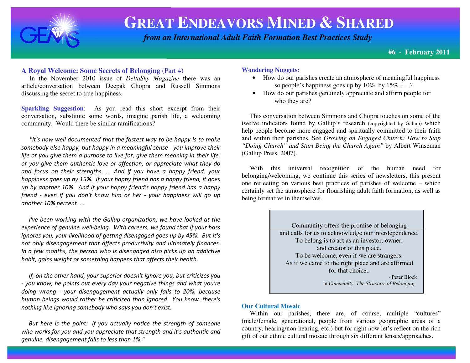

# **GREAT ENDEAVORS MINED & <sup>S</sup>HARED**

 *from an International Adult Faith Formation Best Practices Study*

**#6 - February 2011**

## **A Royal Welcome: Some Secrets of Belonging** (Part 4)

 In the November 2010 issue of *DeltaSky Magazine* there was an article/conversation between Deepak Chopra and Russell Simmons discussing the secret to true happiness.

**Sparkling Suggestion:** As you read this short excerpt from their conversation, substitute some words, imagine parish life, a welcoming community. Would there be similar ramifications?

"It's now well documented that the fastest way to be happy is to make somebody else happy, but happy in a meaningful sense - you improve their life or you give them a purpose to live for, give them meaning in their life, or you give them authentic love or affection, or appreciate what they do and focus on their strengths. ... And if you have a happy friend, your happiness goes up by 15%. If your happy friend has a happy friend, it goes up by another 10%. And if your happy friend's happy friend has a happy friend - even if you don't know him or her - your happiness will go up another 10% percent. ...

 I've been working with the Gallup organization; we have looked at the experience of genuine well-being. With careers, we found that if your boss ignores you, your likelihood of getting disengaged goes up by 45%. But it's not only disengagement that affects productivity and ultimately finances. In a few months, the person who is disengaged also picks up an addictive habit, gains weight or something happens that affects their health.

 If, on the other hand, your superior doesn't ignore you, but criticizes you - you know, he points out every day your negative things and what you're doing wrong - your disengagement actually only falls to 20%, because human beings would rather be criticized than ignored. You know, there's nothing like ignoring somebody who says you don't exist.

 But here is the point: If you actually notice the strength of someone who works for you and you appreciate that strength and it's authentic and genuine, disengagement falls to less than 1%."

## **Wondering Nuggets:**

- How do our parishes create an atmosphere of meaningful happiness so people's happiness goes up by 10%, by 15% …..?
- How do our parishes genuinely appreciate and affirm people for who they are?

 This conversation between Simmons and Chopra touches on some of the twelve indicators found by Gallup's research (copyrighted by Gallup) which help people become more engaged and spiritually committed to their faith and within their parishes. See *Growing an Engaged Church: How to Stop "Doing Church" and Start Being the Church Again"* by Albert Winseman (Gallup Press, 2007).

 With this universal recognition of the human need for belonging/welcoming, we continue this series of newsletters, this present one reflecting on various best practices of parishes of welcome – which certainly set the atmosphere for flourishing adult faith formation, as well as being formative in themselves.



## **Our Cultural Mosaic**

 Within our parishes, there are, of course, multiple "cultures" (male/female, generational, people from various geographic areas of a country, hearing/non-hearing, etc.) but for right now let's reflect on the rich gift of our ethnic cultural mosaic through six different lenses/approaches.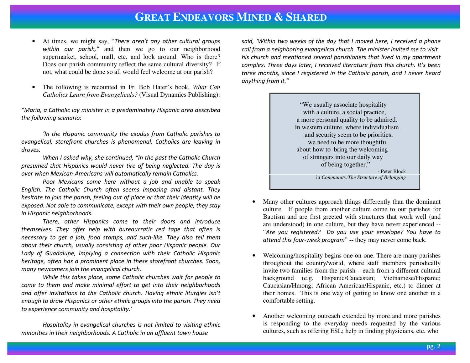## **GREAT ENDEAVORS MINED &SHARED**

- • At times, we might say, "There aren't any other cultural group<sup>s</sup> within our parish," and then we go to our neighborhood supermarket, school, mall, etc. and look around. Who is there? Does our parish community reflect the same cultural diversity? If not, what could be done so all would feel welcome at our parish?
- • The following is recounted in Fr. Bob Hater's book, *What CanCatholics Learn from Evangelicals?* (Visual Dynamics Publishing):

"Maria, a Catholic lay minister in a predominately Hispanic area described the following scenario:

'In the Hispanic community the exodus from Catholic parishes to evangelical, storefront churches is phenomenal. Catholics are leaving in droves.

When I asked why, she continued, "In the past the Catholic Church presumed that Hispanics would never tire of being neglected. The day is over when Mexican-Americans will automatically remain Catholics.

 Poor Mexicans come here without a job and unable to speak English. The Catholic Church often seems imposing and distant. They hesitate to join the parish, feeling out of place or that their identity will be exposed. Not able to communicate, except with their own people, they stay in Hispanic neighborhoods.

There, other Hispanics come to their doors and introduce themselves. They offer help with bureaucratic red tape that often is necessary to get a job, food stamps, and such-like. They also tell them about their church, usually consisting of other poor Hispanic people. Our Lady of Guadalupe, implying a connection with their Catholic Hispanic heritage, often has a prominent place in these storefront churches. Soon, many newcomers join the evangelical church.

While this takes place, some Catholic churches wait for people to come to them and make minimal effort to get into their neighborhoods and offer invitations to the Catholic church. Having ethnic liturgies isn't enough to draw Hispanics or other ethnic groups into the parish. They need to experience community and hospitality.'

Hospitality in evangelical churches is not limited to visiting ethnic minorities in their neighborhoods. A Catholic in an affluent town house

said, 'Within two weeks of the day that I moved here, I received a phone call from a neighboring evangelical church. The minister invited me to visit his church and mentioned several parishioners that lived in my apartment complex. Three days later, I received literature from this church. It's been three months, since I registered in the Catholic parish, and I never heard anything from it."

> "We usually associate hospitality with a culture, a social practice, a more personal quality to be admired. In western culture, where individualism and security seem to be priorities, we need to be more thoughtful about how to bring the welcoming of strangers into our daily way of being together." - Peter Block in *Community:The Structure of Belonging*

- • Many other cultures approach things differently than the dominant culture. If people from another culture come to our parishes for Baptism and are first greeted with structures that work well (and are understood) in one culture, but they have never experienced -- "Are you registered? Do you use your envelope? You have to attend this four-week program" -- they may never come back.
- $\bullet$  Welcoming/hospitality begins one-on-one. There are many parishes throughout the country/world, where staff members periodically invite two families from the parish – each from a different cultural background (e.g. Hispanic/Caucasian; Vietnamese/Hispanic; Caucasian/Hmong; African American/Hispanic, etc.) to dinner at their homes. This is one way of getting to know one another in a comfortable setting.
- • Another welcoming outreach extended by more and more parishes is responding to the everyday needs requested by the various cultures, such as offering ESL; help in finding physicians, etc. who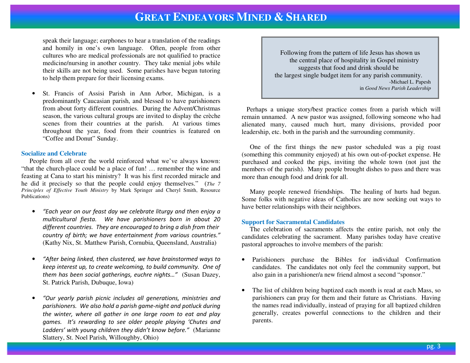## **GREAT ENDEAVORS MINED & <sup>S</sup>HARED**

speak their language; earphones to hear a translation of the readings and homily in one's own language. Often, people from other cultures who are medical professionals are not qualified to practice medicine/nursing in another country. They take menial jobs while their skills are not being used. Some parishes have begun tutoring to help them prepare for their licensing exams.

• St. Francis of Assisi Parish in Ann Arbor, Michigan, is a predominantly Caucasian parish, and blessed to have parishioners from about forty different countries. During the Advent/Christmas season, the various cultural groups are invited to display the crèche scenes from their countries at the parish. At various times throughout the year, food from their countries is featured on "Coffee and Donut" Sunday.

### **Socialize and Celebrate**

 People from all over the world reinforced what we've always known: "that the church-place could be a place of fun! … remember the wine and feasting at Cana to start his ministry? It was his first recorded miracle and he did it precisely so that the people could enjoy themselves." (*The 7 Principles of Effective Youth Ministry* by Mark Springer and Cheryl Smith, Resource Publications)

- • "Each year on our feast day we celebrate liturgy and then enjoy a multicultural fiesta. We have parishioners born in about 20 different countries. They are encouraged to bring a dish from their country of birth; we have entertainment from various countries." (Kathy Nix, St. Matthew Parish, Cornubia, Queensland, Australia)
- • "After being linked, then clustered, we have brainstormed ways to keep interest up, to create welcoming, to build community. One of them has been social gatherings, euchre nights…" (Susan Dazey, St. Patrick Parish, Dubuque, Iowa)
- • "Our yearly parish picnic includes all generations, ministries and parishioners. We also hold a parish game-night and potluck during the winter, where all gather in one large room to eat and play games. It's rewarding to see older people playing 'Chutes and Ladders' with young children they didn't know before." (Marianne Slattery, St. Noel Parish, Willoughby, Ohio)

 Following from the pattern of life Jesus has shown us the central place of hospitality in Gospel ministry suggests that food and drink should be the largest single budget item for any parish community. -Michael L. Papesh in *Good News Parish Leadership* 

 Perhaps a unique story/best practice comes from a parish which will remain unnamed. A new pastor was assigned, following someone who had alienated many, caused much hurt, many divisions, provided poor leadership, etc. both in the parish and the surrounding community.

 One of the first things the new pastor scheduled was a pig roast (something this community enjoyed) at his own out-of-pocket expense. He purchased and cooked the pigs, inviting the whole town (not just the members of the parish). Many people brought dishes to pass and there was more than enough food and drink for all.

 Many people renewed friendships. The healing of hurts had begun. Some folks with negative ideas of Catholics are now seeking out ways to have better relationships with their neighbors.

#### **Support for Sacramental Candidates**

 The celebration of sacraments affects the entire parish, not only the candidates celebrating the sacrament. Many parishes today have creative pastoral approaches to involve members of the parish:

- • Parishioners purchase the Bibles for individual Confirmation candidates. The candidates not only feel the community support, but also gain in a parishioner/a new friend almost a second "sponsor."
- • The list of children being baptized each month is read at each Mass, so parishioners can pray for them and their future as Christians. Having the names read individually, instead of praying for all baptized children generally, creates powerful connections to the children and their parents.